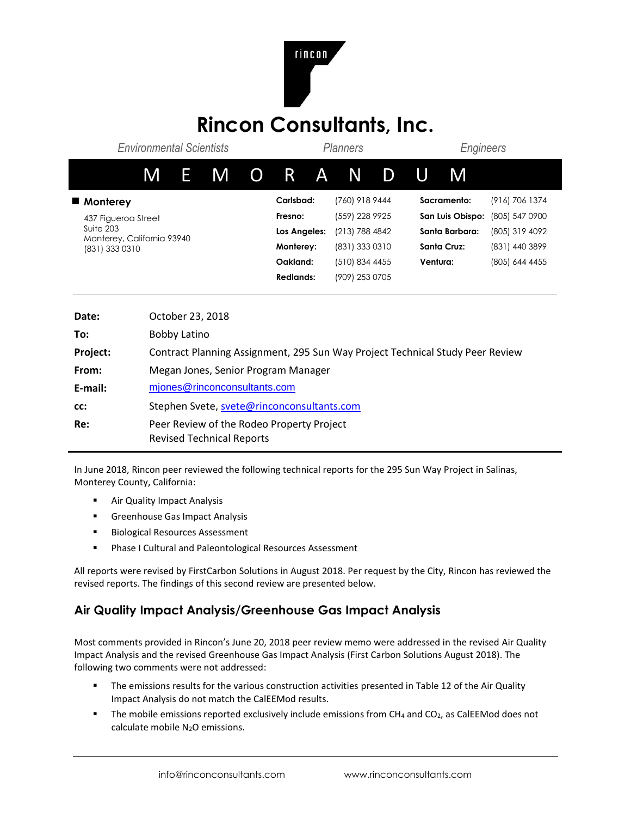

## **Rincon Consultants, Inc.**

| <b>Environmental Scientists</b>              |                         |     |           |                  | <b>Planners</b> |                |             |                  | Engineers          |                |  |
|----------------------------------------------|-------------------------|-----|-----------|------------------|-----------------|----------------|-------------|------------------|--------------------|----------------|--|
| M                                            |                         | E M |           |                  |                 | O R A N        | D           | U                | M                  |                |  |
| ■ Monterey                                   |                         |     | Carlsbad: |                  | (760) 918 9444  |                | Sacramento: |                  | (916) 706 1374     |                |  |
| 437 Figueroa Street                          |                         |     |           | Fresno:          |                 | (559) 228 9925 |             | San Luis Obispo: |                    | (805) 547 0900 |  |
| Suite 203                                    |                         |     |           | Los Angeles:     |                 | (213) 788 4842 |             | Santa Barbara:   |                    | (805) 319 4092 |  |
| Monterey, California 93940<br>(831) 333 0310 |                         |     |           | Monterey:        |                 | (831) 333 0310 |             |                  | <b>Santa Cruz:</b> | (831) 440 3899 |  |
|                                              |                         |     |           | Oakland:         |                 | (510) 834 4455 |             | Ventura:         |                    | (805) 644 4455 |  |
|                                              |                         |     |           | <b>Redlands:</b> |                 | (909) 253 0705 |             |                  |                    |                |  |
|                                              |                         |     |           |                  |                 |                |             |                  |                    |                |  |
| Doto:                                        | $\Omega$ ctober 22–2018 |     |           |                  |                 |                |             |                  |                    |                |  |

| Date:    | October 23, 2018                                                              |
|----------|-------------------------------------------------------------------------------|
| To:      | Bobby Latino                                                                  |
| Project: | Contract Planning Assignment, 295 Sun Way Project Technical Study Peer Review |
| From:    | Megan Jones, Senior Program Manager                                           |
| E-mail:  | mjones@rinconconsultants.com                                                  |
| CC:      | Stephen Svete, svete@rinconconsultants.com                                    |
| Re:      | Peer Review of the Rodeo Property Project<br><b>Revised Technical Reports</b> |

In June 2018, Rincon peer reviewed the following technical reports for the 295 Sun Way Project in Salinas, Monterey County, California:

- Air Quality Impact Analysis
- **EXEC** Greenhouse Gas Impact Analysis
- Biological Resources Assessment
- Phase I Cultural and Paleontological Resources Assessment

All reports were revised by FirstCarbon Solutions in August 2018. Per request by the City, Rincon has reviewed the revised reports. The findings of this second review are presented below.

## **Air Quality Impact Analysis/Greenhouse Gas Impact Analysis**

Most comments provided in Rincon's June 20, 2018 peer review memo were addressed in the revised Air Quality Impact Analysis and the revised Greenhouse Gas Impact Analysis (First Carbon Solutions August 2018). The following two comments were not addressed:

- **•** The emissions results for the various construction activities presented in Table 12 of the Air Quality Impact Analysis do not match the CalEEMod results.
- **■** The mobile emissions reported exclusively include emissions from CH<sub>4</sub> and CO<sub>2</sub>, as CalEEMod does not calculate mobile N2O emissions.